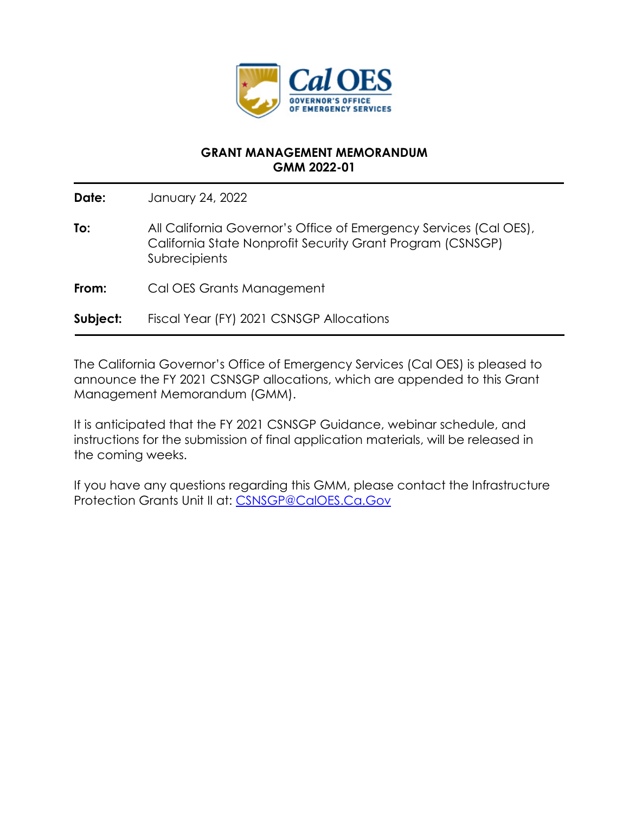

## **GRANT MANAGEMENT MEMORANDUM GMM 2022-01**

**Date:** January 24, 2022

.

- **To:** All California Governor's Office of Emergency Services (Cal OES), California State Nonprofit Security Grant Program (CSNSGP) **Subrecipients**
- **From:** Cal OES Grants Management

**Subject:** Fiscal Year (FY) 2021 CSNSGP Allocations

The California Governor's Office of Emergency Services (Cal OES) is pleased to announce the FY 2021 CSNSGP allocations, which are appended to this Grant Management Memorandum (GMM).

It is anticipated that the FY 2021 CSNSGP Guidance, webinar schedule, and instructions for the submission of final application materials, will be released in the coming weeks.

If you have any questions regarding this GMM, please contact the Infrastructure Protection Grants Unit II at: [CSNSGP@CalOES.Ca.Gov](mailto:CSNSGP@CalOES.Ca.Gov)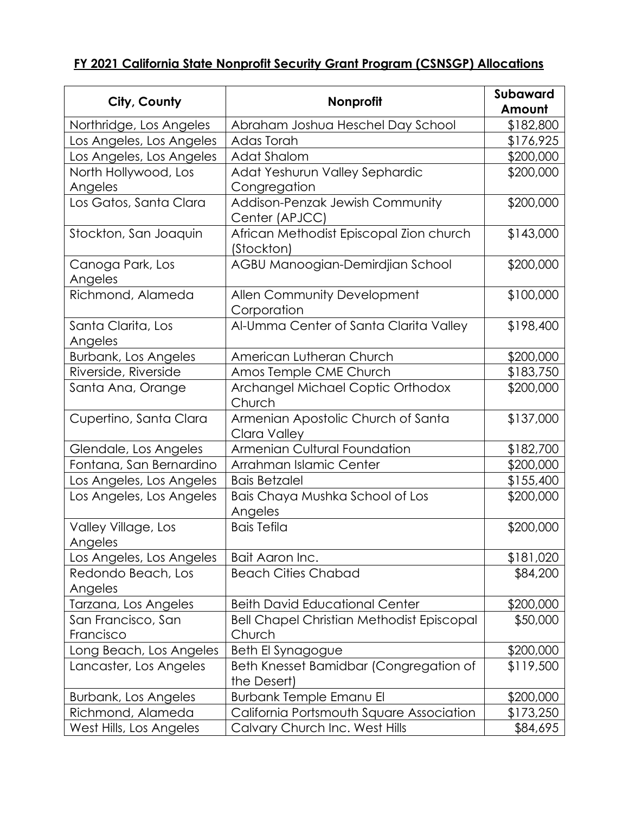## **FY 2021 California State Nonprofit Security Grant Program (CSNSGP) Allocations**

| City, County                   | Nonprofit                                             | <b>Subaward</b><br>Amount |
|--------------------------------|-------------------------------------------------------|---------------------------|
| Northridge, Los Angeles        | Abraham Joshua Heschel Day School                     | \$182,800                 |
| Los Angeles, Los Angeles       | Adas Torah                                            | \$176,925                 |
| Los Angeles, Los Angeles       | <b>Adat Shalom</b>                                    | \$200,000                 |
| North Hollywood, Los           | Adat Yeshurun Valley Sephardic                        | \$200,000                 |
| Angeles                        | Congregation                                          |                           |
| Los Gatos, Santa Clara         | Addison-Penzak Jewish Community<br>Center (APJCC)     | \$200,000                 |
| Stockton, San Joaquin          | African Methodist Episcopal Zion church<br>(Stockton) | \$143,000                 |
| Canoga Park, Los<br>Angeles    | AGBU Manoogian-Demirdjian School                      | \$200,000                 |
| Richmond, Alameda              | <b>Allen Community Development</b><br>Corporation     | \$100,000                 |
| Santa Clarita, Los<br>Angeles  | Al-Umma Center of Santa Clarita Valley                | \$198,400                 |
| <b>Burbank, Los Angeles</b>    | American Lutheran Church                              | \$200,000                 |
| Riverside, Riverside           | Amos Temple CME Church                                | \$183,750                 |
| Santa Ana, Orange              | Archangel Michael Coptic Orthodox<br>Church           | \$200,000                 |
| Cupertino, Santa Clara         | Armenian Apostolic Church of Santa<br>Clara Valley    | \$137,000                 |
| Glendale, Los Angeles          | Armenian Cultural Foundation                          | \$182,700                 |
| Fontana, San Bernardino        | Arrahman Islamic Center                               | \$200,000                 |
| Los Angeles, Los Angeles       | <b>Bais Betzalel</b>                                  | \$155,400                 |
| Los Angeles, Los Angeles       | Bais Chaya Mushka School of Los<br>Angeles            | \$200,000                 |
| Valley Village, Los<br>Angeles | <b>Bais Tefila</b>                                    | \$200,000                 |
| Los Angeles, Los Angeles       | Bait Aaron Inc.                                       | \$181,020                 |
| Redondo Beach, Los<br>Angeles  | <b>Beach Cities Chabad</b>                            | \$84,200                  |
| Tarzana, Los Angeles           | <b>Beith David Educational Center</b>                 | \$200,000                 |
| San Francisco, San             | <b>Bell Chapel Christian Methodist Episcopal</b>      | \$50,000                  |
| Francisco                      | Church                                                |                           |
| Long Beach, Los Angeles        | <b>Beth El Synagogue</b>                              | \$200,000                 |
| Lancaster, Los Angeles         | Beth Knesset Bamidbar (Congregation of<br>the Desert) | \$119,500                 |
| Burbank, Los Angeles           | <b>Burbank Temple Emanu El</b>                        | \$200,000                 |
| Richmond, Alameda              | California Portsmouth Square Association              | \$173,250                 |
| West Hills, Los Angeles        | Calvary Church Inc. West Hills                        | \$84,695                  |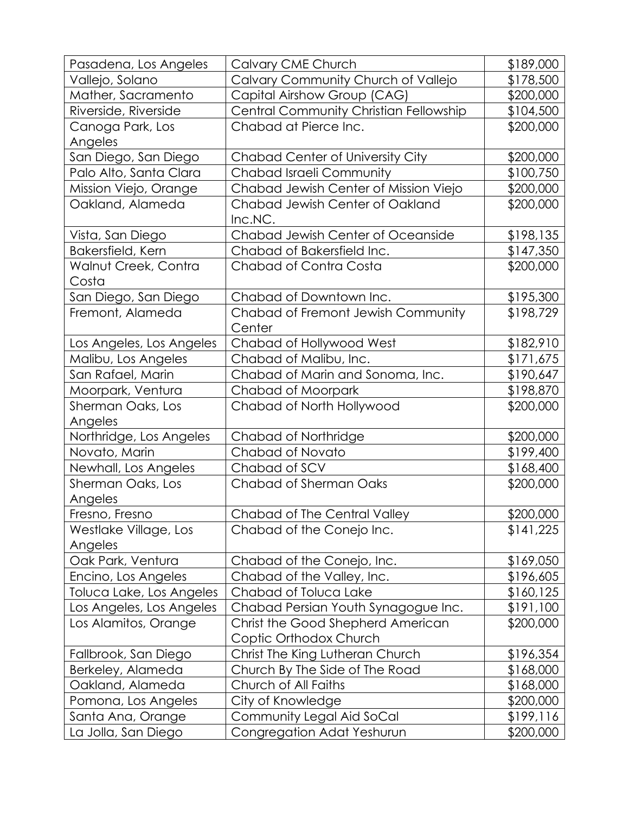| Pasadena, Los Angeles            | Calvary CME Church                         | \$189,000 |
|----------------------------------|--------------------------------------------|-----------|
| Vallejo, Solano                  | Calvary Community Church of Vallejo        | \$178,500 |
| Mather, Sacramento               | Capital Airshow Group (CAG)                | \$200,000 |
| Riverside, Riverside             | Central Community Christian Fellowship     | \$104,500 |
| Canoga Park, Los                 | Chabad at Pierce Inc.                      | \$200,000 |
| Angeles                          |                                            |           |
| San Diego, San Diego             | Chabad Center of University City           | \$200,000 |
| Palo Alto, Santa Clara           | <b>Chabad Israeli Community</b>            | \$100,750 |
| Mission Viejo, Orange            | Chabad Jewish Center of Mission Viejo      | \$200,000 |
| Oakland, Alameda                 | Chabad Jewish Center of Oakland<br>Inc.NC. | \$200,000 |
| Vista, San Diego                 | Chabad Jewish Center of Oceanside          | \$198,135 |
| Bakersfield, Kern                | Chabad of Bakersfield Inc.                 | \$147,350 |
| Walnut Creek, Contra             | Chabad of Contra Costa                     | \$200,000 |
| Costa                            |                                            |           |
| San Diego, San Diego             | Chabad of Downtown Inc.                    | \$195,300 |
| Fremont, Alameda                 | Chabad of Fremont Jewish Community         | \$198,729 |
|                                  | Center                                     |           |
| Los Angeles, Los Angeles         | Chabad of Hollywood West                   | \$182,910 |
| Malibu, Los Angeles              | Chabad of Malibu, Inc.                     | \$171,675 |
| San Rafael, Marin                | Chabad of Marin and Sonoma, Inc.           | \$190,647 |
| Moorpark, Ventura                | Chabad of Moorpark                         | \$198,870 |
| Sherman Oaks, Los                | Chabad of North Hollywood                  | \$200,000 |
| Angeles                          |                                            |           |
| Northridge, Los Angeles          | Chabad of Northridge                       | \$200,000 |
| Novato, Marin                    | Chabad of Novato                           | \$199,400 |
| Newhall, Los Angeles             | Chabad of SCV                              | \$168,400 |
| Sherman Oaks, Los                | <b>Chabad of Sherman Oaks</b>              | \$200,000 |
| Angeles                          |                                            |           |
| Fresno, Fresno                   | Chabad of The Central Valley               | \$200,000 |
| Westlake Village, Los<br>Angeles | Chabad of the Conejo Inc.                  | \$141,225 |
| Oak Park, Ventura                | Chabad of the Conejo, Inc.                 | \$169,050 |
| Encino, Los Angeles              | Chabad of the Valley, Inc.                 | \$196,605 |
| Toluca Lake, Los Angeles         | Chabad of Toluca Lake                      | \$160,125 |
| Los Angeles, Los Angeles         | Chabad Persian Youth Synagogue Inc.        | \$191,100 |
| Los Alamitos, Orange             | Christ the Good Shepherd American          | \$200,000 |
|                                  | Coptic Orthodox Church                     |           |
| Fallbrook, San Diego             | Christ The King Lutheran Church            | \$196,354 |
| Berkeley, Alameda                | Church By The Side of The Road             | \$168,000 |
| Oakland, Alameda                 | Church of All Faiths                       | \$168,000 |
| Pomona, Los Angeles              | City of Knowledge                          | \$200,000 |
| Santa Ana, Orange                | Community Legal Aid SoCal                  | \$199,116 |
| La Jolla, San Diego              | Congregation Adat Yeshurun                 | \$200,000 |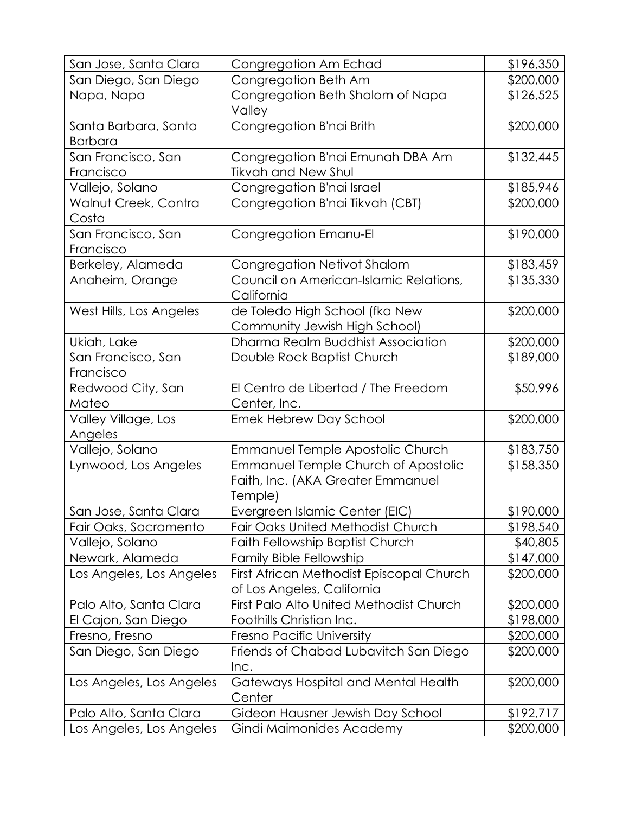| San Jose, Santa Clara                  | Congregation Am Echad                                                               | \$196,350 |
|----------------------------------------|-------------------------------------------------------------------------------------|-----------|
| San Diego, San Diego                   | Congregation Beth Am                                                                | \$200,000 |
| Napa, Napa                             | Congregation Beth Shalom of Napa<br>Valley                                          | \$126,525 |
| Santa Barbara, Santa<br><b>Barbara</b> | Congregation B'nai Brith                                                            | \$200,000 |
| San Francisco, San<br>Francisco        | Congregation B'nai Emunah DBA Am<br><b>Tikvah and New Shul</b>                      | \$132,445 |
| Vallejo, Solano                        | Congregation B'nai Israel                                                           | \$185,946 |
| Walnut Creek, Contra<br>Costa          | Congregation B'nai Tikvah (CBT)                                                     | \$200,000 |
| San Francisco, San<br>Francisco        | Congregation Emanu-El                                                               | \$190,000 |
| Berkeley, Alameda                      | Congregation Netivot Shalom                                                         | \$183,459 |
| Anaheim, Orange                        | Council on American-Islamic Relations,<br>California                                | \$135,330 |
| West Hills, Los Angeles                | de Toledo High School (fka New<br>Community Jewish High School)                     | \$200,000 |
| Ukiah, Lake                            | Dharma Realm Buddhist Association                                                   | \$200,000 |
| San Francisco, San<br>Francisco        | Double Rock Baptist Church                                                          | \$189,000 |
| Redwood City, San<br>Mateo             | El Centro de Libertad / The Freedom<br>Center, Inc.                                 | \$50,996  |
| Valley Village, Los                    | Emek Hebrew Day School                                                              | \$200,000 |
| Angeles                                |                                                                                     |           |
| Vallejo, Solano                        | Emmanuel Temple Apostolic Church                                                    | \$183,750 |
| Lynwood, Los Angeles                   | Emmanuel Temple Church of Apostolic<br>Faith, Inc. (AKA Greater Emmanuel<br>Temple) | \$158,350 |
| San Jose, Santa Clara                  | Evergreen Islamic Center (EIC)                                                      | \$190,000 |
| Fair Oaks, Sacramento                  | <b>Fair Oaks United Methodist Church</b>                                            | \$198,540 |
| Vallejo, Solano                        | <b>Faith Fellowship Baptist Church</b>                                              | \$40,805  |
| Newark, Alameda                        | Family Bible Fellowship                                                             | \$147,000 |
| Los Angeles, Los Angeles               | First African Methodist Episcopal Church<br>of Los Angeles, California              | \$200,000 |
| Palo Alto, Santa Clara                 | First Palo Alto United Methodist Church                                             | \$200,000 |
| El Cajon, San Diego                    | Foothills Christian Inc.                                                            | \$198,000 |
| Fresno, Fresno                         | <b>Fresno Pacific University</b>                                                    | \$200,000 |
| San Diego, San Diego                   | Friends of Chabad Lubavitch San Diego<br>Inc.                                       | \$200,000 |
| Los Angeles, Los Angeles               | Gateways Hospital and Mental Health<br>Center                                       | \$200,000 |
| Palo Alto, Santa Clara                 | Gideon Hausner Jewish Day School                                                    | \$192,717 |
| Los Angeles, Los Angeles               | Gindi Maimonides Academy                                                            | \$200,000 |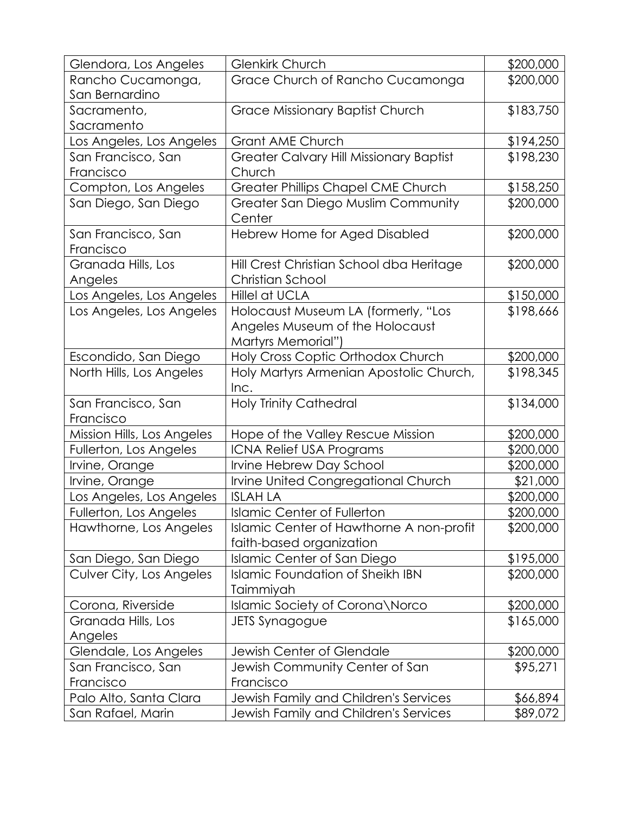| Glendora, Los Angeles           | <b>Glenkirk Church</b>                                               | \$200,000 |
|---------------------------------|----------------------------------------------------------------------|-----------|
| Rancho Cucamonga,               | Grace Church of Rancho Cucamonga                                     | \$200,000 |
| San Bernardino                  |                                                                      |           |
| Sacramento,                     | <b>Grace Missionary Baptist Church</b>                               | \$183,750 |
| Sacramento                      |                                                                      |           |
| Los Angeles, Los Angeles        | <b>Grant AME Church</b>                                              | \$194,250 |
| San Francisco, San              | <b>Greater Calvary Hill Missionary Baptist</b>                       | \$198,230 |
| Francisco                       | Church                                                               |           |
| Compton, Los Angeles            | <b>Greater Phillips Chapel CME Church</b>                            | \$158,250 |
| San Diego, San Diego            | Greater San Diego Muslim Community<br>Center                         | \$200,000 |
| San Francisco, San<br>Francisco | <b>Hebrew Home for Aged Disabled</b>                                 | \$200,000 |
| Granada Hills, Los              | Hill Crest Christian School dba Heritage                             | \$200,000 |
| Angeles                         | <b>Christian School</b>                                              |           |
| Los Angeles, Los Angeles        | Hillel at UCLA                                                       | \$150,000 |
| Los Angeles, Los Angeles        | Holocaust Museum LA (formerly, "Los                                  | \$198,666 |
|                                 | Angeles Museum of the Holocaust                                      |           |
|                                 | Martyrs Memorial")                                                   |           |
| Escondido, San Diego            | Holy Cross Coptic Orthodox Church                                    | \$200,000 |
| North Hills, Los Angeles        | Holy Martyrs Armenian Apostolic Church,<br>Inc.                      | \$198,345 |
| San Francisco, San              | <b>Holy Trinity Cathedral</b>                                        | \$134,000 |
| Francisco                       |                                                                      |           |
| Mission Hills, Los Angeles      | Hope of the Valley Rescue Mission                                    | \$200,000 |
| Fullerton, Los Angeles          | ICNA Relief USA Programs                                             | \$200,000 |
| Irvine, Orange                  | Irvine Hebrew Day School                                             | \$200,000 |
| Irvine, Orange                  | Irvine United Congregational Church                                  | \$21,000  |
| Los Angeles, Los Angeles        | <b>ISLAH LA</b>                                                      | \$200,000 |
| Fullerton, Los Angeles          | <b>Islamic Center of Fullerton</b>                                   | \$200,000 |
| Hawthorne, Los Angeles          | Islamic Center of Hawthorne A non-profit<br>faith-based organization | \$200,000 |
| San Diego, San Diego            | <b>Islamic Center of San Diego</b>                                   | \$195,000 |
| Culver City, Los Angeles        | <b>Islamic Foundation of Sheikh IBN</b>                              | \$200,000 |
|                                 | Taimmiyah                                                            |           |
| Corona, Riverside               | Islamic Society of Corona\Norco                                      | \$200,000 |
| Granada Hills, Los              | JETS Synagogue                                                       | \$165,000 |
| Angeles                         |                                                                      |           |
| Glendale, Los Angeles           | <b>Jewish Center of Glendale</b>                                     | \$200,000 |
| San Francisco, San              | Jewish Community Center of San                                       | \$95,271  |
| Francisco                       | Francisco                                                            |           |
| Palo Alto, Santa Clara          | Jewish Family and Children's Services                                | \$66,894  |
| San Rafael, Marin               | Jewish Family and Children's Services                                | \$89,072  |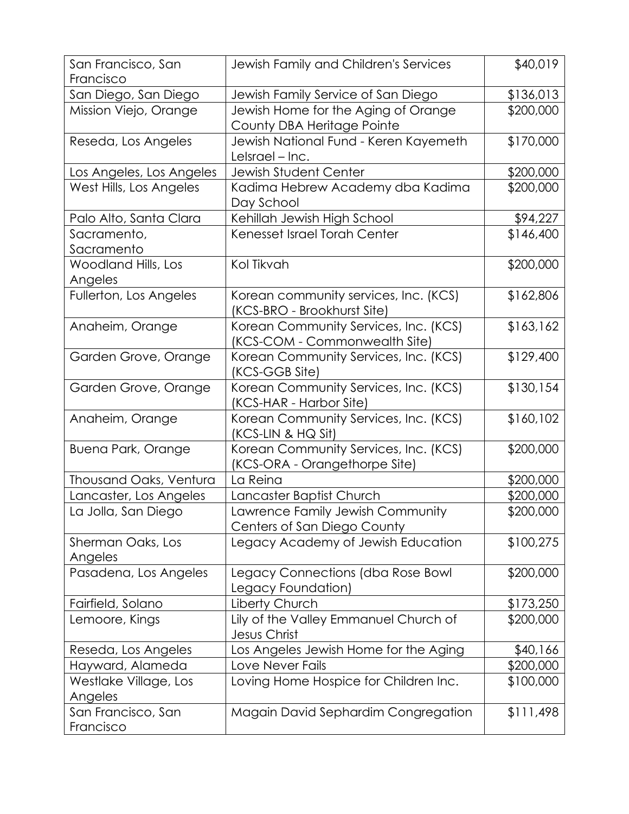| San Francisco, San<br>Francisco  | Jewish Family and Children's Services                                  | \$40,019  |
|----------------------------------|------------------------------------------------------------------------|-----------|
| San Diego, San Diego             | Jewish Family Service of San Diego                                     | \$136,013 |
| Mission Viejo, Orange            | Jewish Home for the Aging of Orange<br>County DBA Heritage Pointe      | \$200,000 |
| Reseda, Los Angeles              | Jewish National Fund - Keren Kayemeth<br>Lelsrael - Inc.               | \$170,000 |
| Los Angeles, Los Angeles         | <b>Jewish Student Center</b>                                           | \$200,000 |
| West Hills, Los Angeles          | Kadima Hebrew Academy dba Kadima<br>Day School                         | \$200,000 |
| Palo Alto, Santa Clara           | Kehillah Jewish High School                                            | \$94,227  |
| Sacramento,<br>Sacramento        | Kenesset Israel Torah Center                                           | \$146,400 |
| Woodland Hills, Los<br>Angeles   | Kol Tikvah                                                             | \$200,000 |
| Fullerton, Los Angeles           | Korean community services, Inc. (KCS)<br>(KCS-BRO - Brookhurst Site)   | \$162,806 |
| Anaheim, Orange                  | Korean Community Services, Inc. (KCS)<br>(KCS-COM - Commonwealth Site) | \$163,162 |
| Garden Grove, Orange             | Korean Community Services, Inc. (KCS)<br>(KCS-GGB Site)                | \$129,400 |
| Garden Grove, Orange             | Korean Community Services, Inc. (KCS)<br>(KCS-HAR - Harbor Site)       | \$130,154 |
| Anaheim, Orange                  | Korean Community Services, Inc. (KCS)<br>$(KCS-LIN & HQ Sit)$          | \$160,102 |
| <b>Buena Park, Orange</b>        | Korean Community Services, Inc. (KCS)<br>(KCS-ORA - Orangethorpe Site) | \$200,000 |
| <b>Thousand Oaks, Ventura</b>    | La Reina                                                               | \$200,000 |
| Lancaster, Los Angeles           | Lancaster Baptist Church                                               | \$200,000 |
| La Jolla, San Diego              | awrence Family Jewish Community<br>Centers of San Diego County         | \$200,000 |
| Sherman Oaks, Los<br>Angeles     | Legacy Academy of Jewish Education                                     | \$100,275 |
| Pasadena, Los Angeles            | Legacy Connections (dba Rose Bowl<br>Legacy Foundation)                | \$200,000 |
| Fairfield, Solano                | Liberty Church                                                         | \$173,250 |
| Lemoore, Kings                   | Lily of the Valley Emmanuel Church of<br>Jesus Christ                  | \$200,000 |
| Reseda, Los Angeles              | Los Angeles Jewish Home for the Aging                                  | \$40,166  |
| Hayward, Alameda                 | Love Never Fails                                                       | \$200,000 |
| Westlake Village, Los<br>Angeles | Loving Home Hospice for Children Inc.                                  | \$100,000 |
| San Francisco, San<br>Francisco  | Magain David Sephardim Congregation                                    | \$111,498 |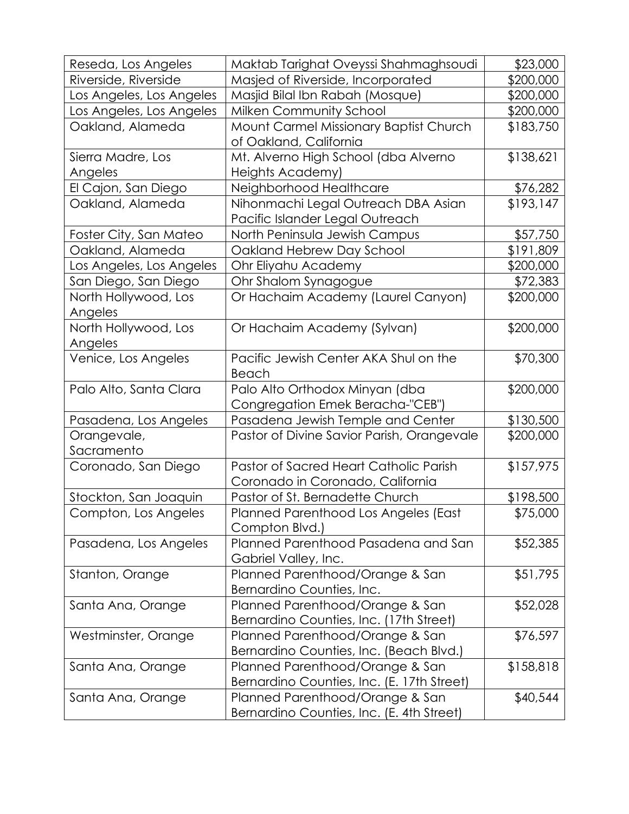| Reseda, Los Angeles      | Maktab Tarighat Oveyssi Shahmaghsoudi      | \$23,000  |
|--------------------------|--------------------------------------------|-----------|
| Riverside, Riverside     | Masjed of Riverside, Incorporated          | \$200,000 |
| Los Angeles, Los Angeles | Masjid Bilal Ibn Rabah (Mosque)            | \$200,000 |
| Los Angeles, Los Angeles | Milken Community School                    | \$200,000 |
| Oakland, Alameda         | Mount Carmel Missionary Baptist Church     | \$183,750 |
|                          | of Oakland, California                     |           |
| Sierra Madre, Los        | Mt. Alverno High School (dba Alverno       | \$138,621 |
| Angeles                  | Heights Academy)                           |           |
| El Cajon, San Diego      | Neighborhood Healthcare                    | \$76,282  |
| Oakland, Alameda         | Nihonmachi Legal Outreach DBA Asian        | \$193,147 |
|                          | Pacific Islander Legal Outreach            |           |
| Foster City, San Mateo   | North Peninsula Jewish Campus              | \$57,750  |
| Oakland, Alameda         | Oakland Hebrew Day School                  | \$191,809 |
| Los Angeles, Los Angeles | Ohr Eliyahu Academy                        | \$200,000 |
| San Diego, San Diego     | Ohr Shalom Synagogue                       | \$72,383  |
| North Hollywood, Los     | Or Hachaim Academy (Laurel Canyon)         | \$200,000 |
| Angeles                  |                                            |           |
| North Hollywood, Los     | Or Hachaim Academy (Sylvan)                | \$200,000 |
| Angeles                  |                                            |           |
| Venice, Los Angeles      | Pacific Jewish Center AKA Shul on the      | \$70,300  |
|                          | Beach                                      |           |
| Palo Alto, Santa Clara   | Palo Alto Orthodox Minyan (dba             | \$200,000 |
|                          | Congregation Emek Beracha-"CEB")           |           |
| Pasadena, Los Angeles    | Pasadena Jewish Temple and Center          | \$130,500 |
| Orangevale,              | Pastor of Divine Savior Parish, Orangevale | \$200,000 |
| Sacramento               |                                            |           |
| Coronado, San Diego      | Pastor of Sacred Heart Catholic Parish     | \$157,975 |
|                          | Coronado in Coronado, California           |           |
| Stockton, San Joaquin    | Pastor of St. Bernadette Church            | \$198,500 |
| Compton, Los Angeles     | Planned Parenthood Los Angeles (East       | \$75,000  |
|                          | Compton Blvd.)                             |           |
| Pasadena, Los Angeles    | Planned Parenthood Pasadena and San        | \$52,385  |
|                          | Gabriel Valley, Inc.                       |           |
| Stanton, Orange          | Planned Parenthood/Orange & San            | \$51,795  |
|                          | Bernardino Counties, Inc.                  |           |
| Santa Ana, Orange        | Planned Parenthood/Orange & San            | \$52,028  |
|                          | Bernardino Counties, Inc. (17th Street)    |           |
| Westminster, Orange      | Planned Parenthood/Orange & San            | \$76,597  |
|                          | Bernardino Counties, Inc. (Beach Blvd.)    |           |
| Santa Ana, Orange        | Planned Parenthood/Orange & San            | \$158,818 |
|                          | Bernardino Counties, Inc. (E. 17th Street) |           |
| Santa Ana, Orange        | Planned Parenthood/Orange & San            | \$40,544  |
|                          | Bernardino Counties, Inc. (E. 4th Street)  |           |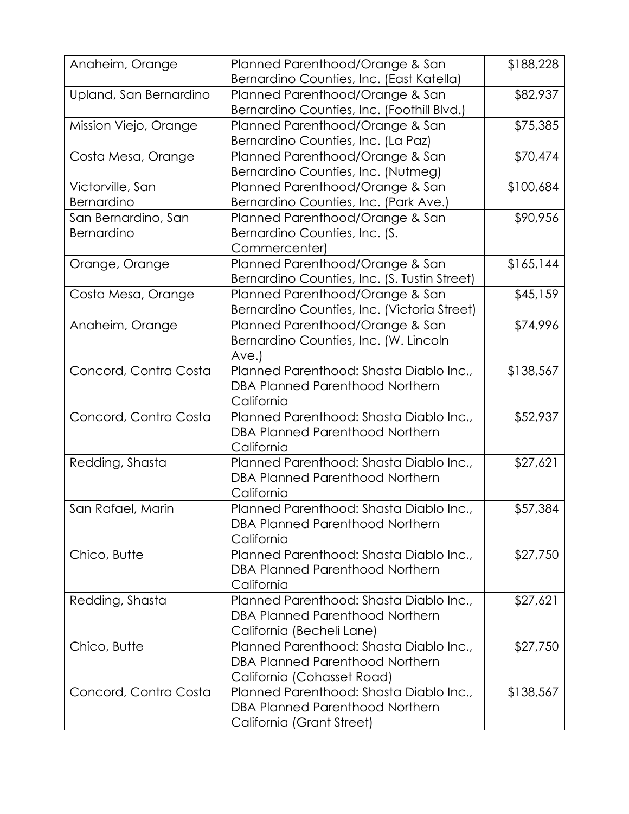| Anaheim, Orange                       | Planned Parenthood/Orange & San<br>Bernardino Counties, Inc. (East Katella)                                         | \$188,228 |
|---------------------------------------|---------------------------------------------------------------------------------------------------------------------|-----------|
| Upland, San Bernardino                | Planned Parenthood/Orange & San                                                                                     | \$82,937  |
| Mission Viejo, Orange                 | Bernardino Counties, Inc. (Foothill Blvd.)<br>Planned Parenthood/Orange & San<br>Bernardino Counties, Inc. (La Paz) | \$75,385  |
| Costa Mesa, Orange                    | Planned Parenthood/Orange & San<br>Bernardino Counties, Inc. (Nutmeg)                                               | \$70,474  |
| Victorville, San<br><b>Bernardino</b> | Planned Parenthood/Orange & San<br>Bernardino Counties, Inc. (Park Ave.)                                            | \$100,684 |
| San Bernardino, San<br>Bernardino     | Planned Parenthood/Orange & San<br>Bernardino Counties, Inc. (S.<br>Commercenter)                                   | \$90,956  |
| Orange, Orange                        | Planned Parenthood/Orange & San<br>Bernardino Counties, Inc. (S. Tustin Street)                                     | \$165,144 |
| Costa Mesa, Orange                    | Planned Parenthood/Orange & San<br>Bernardino Counties, Inc. (Victoria Street)                                      | \$45,159  |
| Anaheim, Orange                       | Planned Parenthood/Orange & San<br>Bernardino Counties, Inc. (W. Lincoln<br>Ave.                                    | \$74,996  |
| Concord, Contra Costa                 | Planned Parenthood: Shasta Diablo Inc.,<br><b>DBA Planned Parenthood Northern</b><br>California                     | \$138,567 |
| Concord, Contra Costa                 | Planned Parenthood: Shasta Diablo Inc.,<br><b>DBA Planned Parenthood Northern</b><br>California                     | \$52,937  |
| Redding, Shasta                       | Planned Parenthood: Shasta Diablo Inc.,<br><b>DBA Planned Parenthood Northern</b><br>California                     | \$27,621  |
| San Rafael, Marin                     | Planned Parenthood: Shasta Diablo Inc.,<br>DBA Planned Parenthood Northern<br>California                            | \$57,384  |
| Chico, Butte                          | Planned Parenthood: Shasta Diablo Inc.,<br><b>DBA Planned Parenthood Northern</b><br>California                     | \$27,750  |
| Redding, Shasta                       | Planned Parenthood: Shasta Diablo Inc.,<br>DBA Planned Parenthood Northern<br>California (Becheli Lane)             | \$27,621  |
| Chico, Butte                          | Planned Parenthood: Shasta Diablo Inc.,<br>DBA Planned Parenthood Northern<br>California (Cohasset Road)            | \$27,750  |
| Concord, Contra Costa                 | Planned Parenthood: Shasta Diablo Inc.,<br>DBA Planned Parenthood Northern<br>California (Grant Street)             | \$138,567 |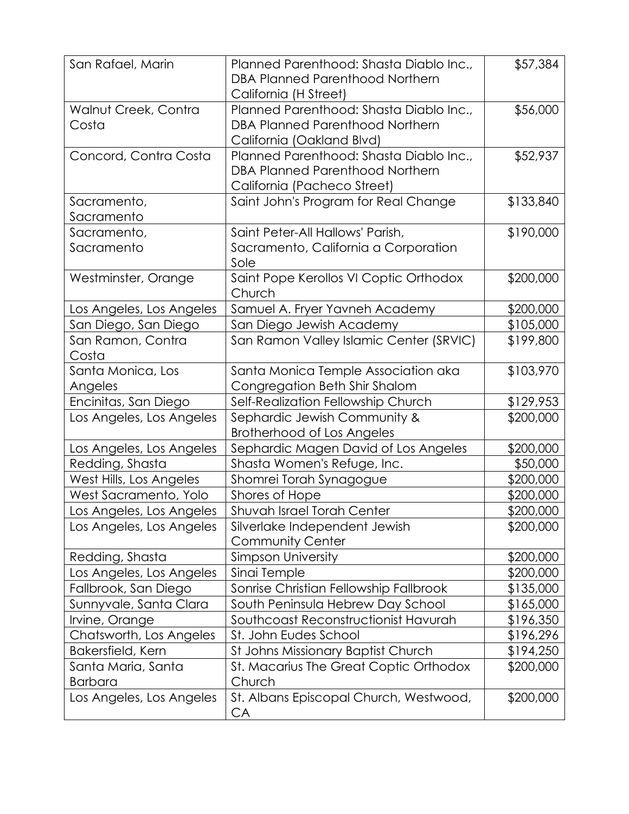| San Rafael, Marin        | Planned Parenthood: Shasta Diablo Inc.,<br><b>DBA Planned Parenthood Northern</b> | \$57,384  |
|--------------------------|-----------------------------------------------------------------------------------|-----------|
|                          | California (H Street)                                                             |           |
| Walnut Creek, Contra     | Planned Parenthood: Shasta Diablo Inc.,                                           | \$56,000  |
| Costa                    | DBA Planned Parenthood Northern                                                   |           |
|                          | California (Oakland Blvd)                                                         |           |
| Concord, Contra Costa    | Planned Parenthood: Shasta Diablo Inc.,                                           | \$52,937  |
|                          | <b>DBA Planned Parenthood Northern</b>                                            |           |
|                          | California (Pacheco Street)                                                       |           |
| Sacramento,              | Saint John's Program for Real Change                                              | \$133,840 |
| Sacramento               |                                                                                   |           |
| Sacramento,              | Saint Peter-All Hallows' Parish,                                                  | \$190,000 |
| Sacramento               | Sacramento, California a Corporation                                              |           |
|                          | Sole                                                                              |           |
| Westminster, Orange      | Saint Pope Kerollos VI Coptic Orthodox                                            | \$200,000 |
|                          | Church                                                                            |           |
| Los Angeles, Los Angeles | Samuel A. Fryer Yavneh Academy                                                    | \$200,000 |
| San Diego, San Diego     | San Diego Jewish Academy                                                          | \$105,000 |
| San Ramon, Contra        | San Ramon Valley Islamic Center (SRVIC)                                           | \$199,800 |
| Costa                    |                                                                                   |           |
| Santa Monica, Los        | Santa Monica Temple Association aka                                               | \$103,970 |
| Angeles                  | Congregation Beth Shir Shalom                                                     |           |
| Encinitas, San Diego     | Self-Realization Fellowship Church                                                | \$129,953 |
| Los Angeles, Los Angeles | Sephardic Jewish Community &                                                      | \$200,000 |
|                          | Brotherhood of Los Angeles                                                        |           |
| Los Angeles, Los Angeles | Sephardic Magen David of Los Angeles                                              | \$200,000 |
| Redding, Shasta          | Shasta Women's Refuge, Inc.                                                       | \$50,000  |
| West Hills, Los Angeles  | Shomrei Torah Synagogue                                                           | \$200,000 |
| West Sacramento, Yolo    | Shores of Hope                                                                    | \$200,000 |
| Los Angeles, Los Angeles | <b>Shuvah Israel Torah Center</b>                                                 | \$200,000 |
| Los Angeles, Los Angeles | Silverlake Independent Jewish                                                     | \$200,000 |
|                          | <b>Community Center</b>                                                           |           |
| Redding, Shasta          | Simpson University                                                                | \$200,000 |
| Los Angeles, Los Angeles | Sinai Temple                                                                      | \$200,000 |
| Fallbrook, San Diego     | Sonrise Christian Fellowship Fallbrook                                            | \$135,000 |
| Sunnyvale, Santa Clara   | South Peninsula Hebrew Day School                                                 | \$165,000 |
| Irvine, Orange           | Southcoast Reconstructionist Havurah                                              | \$196,350 |
| Chatsworth, Los Angeles  | St. John Eudes School                                                             | \$196,296 |
| Bakersfield, Kern        | St Johns Missionary Baptist Church                                                | \$194,250 |
| Santa Maria, Santa       | St. Macarius The Great Coptic Orthodox                                            | \$200,000 |
| <b>Barbara</b>           | Church                                                                            |           |
| Los Angeles, Los Angeles | St. Albans Episcopal Church, Westwood,<br>СA                                      | \$200,000 |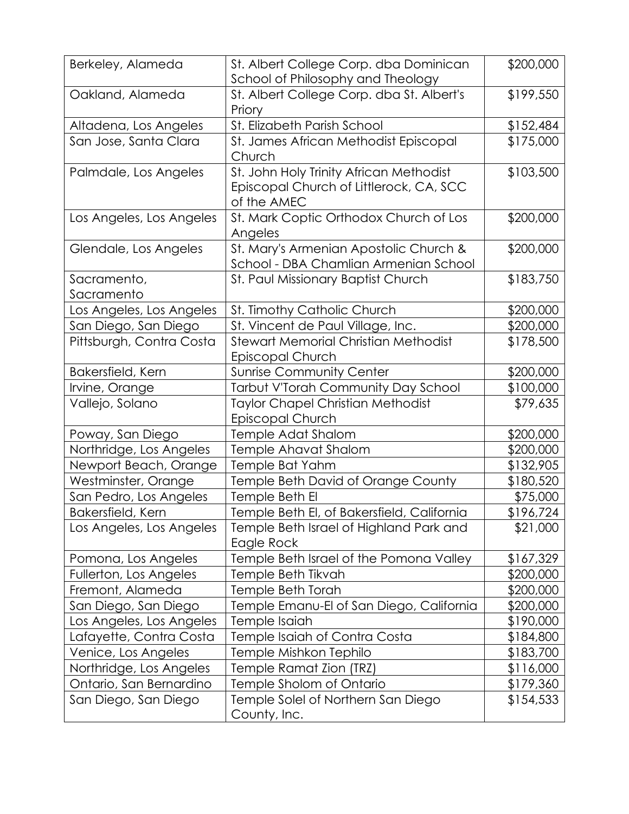| Berkeley, Alameda         | St. Albert College Corp. dba Dominican<br>School of Philosophy and Theology                       | \$200,000 |
|---------------------------|---------------------------------------------------------------------------------------------------|-----------|
| Oakland, Alameda          | St. Albert College Corp. dba St. Albert's<br>Priory                                               | \$199,550 |
| Altadena, Los Angeles     | St. Elizabeth Parish School                                                                       | \$152,484 |
| San Jose, Santa Clara     | St. James African Methodist Episcopal<br>Church                                                   | \$175,000 |
| Palmdale, Los Angeles     | St. John Holy Trinity African Methodist<br>Episcopal Church of Littlerock, CA, SCC<br>of the AMEC | \$103,500 |
| Los Angeles, Los Angeles  | St. Mark Coptic Orthodox Church of Los<br>Angeles                                                 | \$200,000 |
| Glendale, Los Angeles     | St. Mary's Armenian Apostolic Church &<br>School - DBA Chamlian Armenian School                   | \$200,000 |
| Sacramento,<br>Sacramento | St. Paul Missionary Baptist Church                                                                | \$183,750 |
| Los Angeles, Los Angeles  | St. Timothy Catholic Church                                                                       | \$200,000 |
| San Diego, San Diego      | St. Vincent de Paul Village, Inc.                                                                 | \$200,000 |
| Pittsburgh, Contra Costa  | <b>Stewart Memorial Christian Methodist</b><br>Episcopal Church                                   | \$178,500 |
| Bakersfield, Kern         | <b>Sunrise Community Center</b>                                                                   | \$200,000 |
| Irvine, Orange            | <b>Tarbut V'Torah Community Day School</b>                                                        | \$100,000 |
| Vallejo, Solano           | <b>Taylor Chapel Christian Methodist</b><br>Episcopal Church                                      | \$79,635  |
| Poway, San Diego          | Temple Adat Shalom                                                                                | \$200,000 |
| Northridge, Los Angeles   | <b>Temple Ahavat Shalom</b>                                                                       | \$200,000 |
| Newport Beach, Orange     | Temple Bat Yahm                                                                                   | \$132,905 |
| Westminster, Orange       | <b>Temple Beth David of Orange County</b>                                                         | \$180,520 |
| San Pedro, Los Angeles    | Temple Beth El                                                                                    | \$75,000  |
| Bakersfield, Kern         | Temple Beth El, of Bakersfield, California                                                        | \$196,724 |
| Los Angeles, Los Angeles  | Temple Beth Israel of Highland Park and<br>Eagle Rock                                             | \$21,000  |
| Pomona, Los Angeles       | Temple Beth Israel of the Pomona Valley                                                           | \$167,329 |
| Fullerton, Los Angeles    | Temple Beth Tikvah                                                                                | \$200,000 |
| Fremont, Alameda          | Temple Beth Torah                                                                                 | \$200,000 |
| San Diego, San Diego      | Temple Emanu-El of San Diego, California                                                          | \$200,000 |
| Los Angeles, Los Angeles  | Temple Isaiah                                                                                     | \$190,000 |
| Lafayette, Contra Costa   | Temple Isaiah of Contra Costa                                                                     | \$184,800 |
| Venice, Los Angeles       | Temple Mishkon Tephilo                                                                            | \$183,700 |
| Northridge, Los Angeles   | Temple Ramat Zion (TRZ)                                                                           | \$116,000 |
| Ontario, San Bernardino   | Temple Sholom of Ontario                                                                          | \$179,360 |
| San Diego, San Diego      | Temple Solel of Northern San Diego<br>County, Inc.                                                | \$154,533 |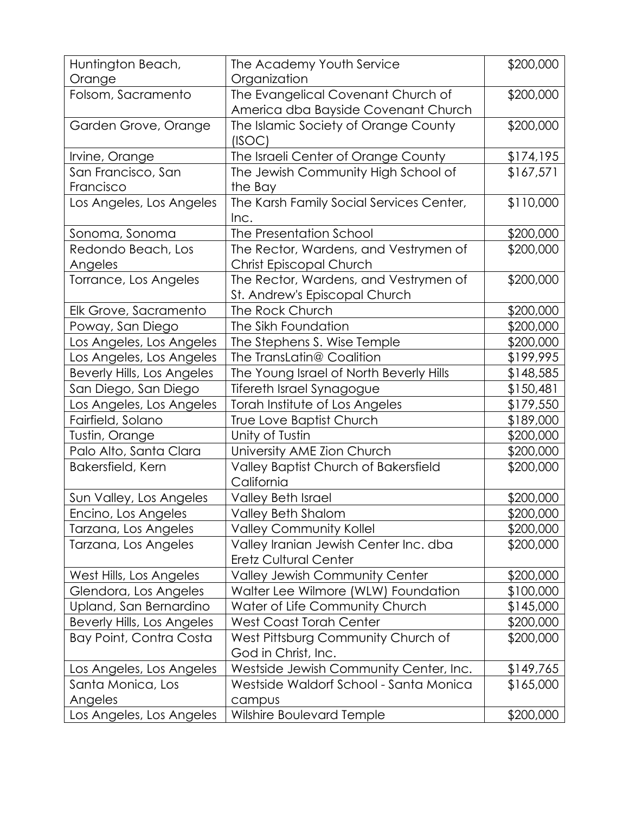| Huntington Beach,<br>Orange       | The Academy Youth Service<br>Organization                 | \$200,000 |
|-----------------------------------|-----------------------------------------------------------|-----------|
| Folsom, Sacramento                | The Evangelical Covenant Church of                        | \$200,000 |
|                                   | America dba Bayside Covenant Church                       |           |
| Garden Grove, Orange              | The Islamic Society of Orange County                      | \$200,000 |
|                                   | (ISOC)                                                    |           |
| Irvine, Orange                    | The Israeli Center of Orange County                       | \$174,195 |
| San Francisco, San                | The Jewish Community High School of                       | \$167,571 |
| Francisco                         | the Bay                                                   |           |
| Los Angeles, Los Angeles          | The Karsh Family Social Services Center,<br>Inc.          | \$110,000 |
| Sonoma, Sonoma                    | The Presentation School                                   | \$200,000 |
| Redondo Beach, Los                | The Rector, Wardens, and Vestrymen of                     | \$200,000 |
| Angeles                           | Christ Episcopal Church                                   |           |
| Torrance, Los Angeles             | The Rector, Wardens, and Vestrymen of                     | \$200,000 |
|                                   | St. Andrew's Episcopal Church                             |           |
| Elk Grove, Sacramento             | The Rock Church                                           | \$200,000 |
| Poway, San Diego                  | The Sikh Foundation                                       | \$200,000 |
| Los Angeles, Los Angeles          | The Stephens S. Wise Temple                               | \$200,000 |
| Los Angeles, Los Angeles          | The TransLatin@ Coalition                                 | \$199,995 |
| <b>Beverly Hills, Los Angeles</b> | The Young Israel of North Beverly Hills                   | \$148,585 |
| San Diego, San Diego              | Tifereth Israel Synagogue                                 | \$150,481 |
| Los Angeles, Los Angeles          | Torah Institute of Los Angeles                            | \$179,550 |
| Fairfield, Solano                 | True Love Baptist Church                                  | \$189,000 |
| Tustin, Orange                    | Unity of Tustin                                           | \$200,000 |
| Palo Alto, Santa Clara            | University AME Zion Church                                | \$200,000 |
| Bakersfield, Kern                 | <b>Valley Baptist Church of Bakersfield</b><br>California | \$200,000 |
| Sun Valley, Los Angeles           | Valley Beth Israel                                        | \$200,000 |
| Encino, Los Angeles               | Valley Beth Shalom                                        | \$200,000 |
| Tarzana, Los Angeles              | <b>Valley Community Kollel</b>                            | \$200,000 |
| Tarzana, Los Angeles              | Valley Iranian Jewish Center Inc. dba                     | \$200,000 |
|                                   | <b>Eretz Cultural Center</b>                              |           |
| West Hills, Los Angeles           | <b>Valley Jewish Community Center</b>                     | \$200,000 |
| Glendora, Los Angeles             | Walter Lee Wilmore (WLW) Foundation                       | \$100,000 |
| Upland, San Bernardino            | Water of Life Community Church                            | \$145,000 |
| Beverly Hills, Los Angeles        | <b>West Coast Torah Center</b>                            | \$200,000 |
| Bay Point, Contra Costa           | West Pittsburg Community Church of                        | \$200,000 |
|                                   | God in Christ, Inc.                                       |           |
| Los Angeles, Los Angeles          | Westside Jewish Community Center, Inc.                    | \$149,765 |
| Santa Monica, Los                 | Westside Waldorf School - Santa Monica                    | \$165,000 |
| Angeles                           | campus                                                    |           |
| Los Angeles, Los Angeles          | Wilshire Boulevard Temple                                 | \$200,000 |